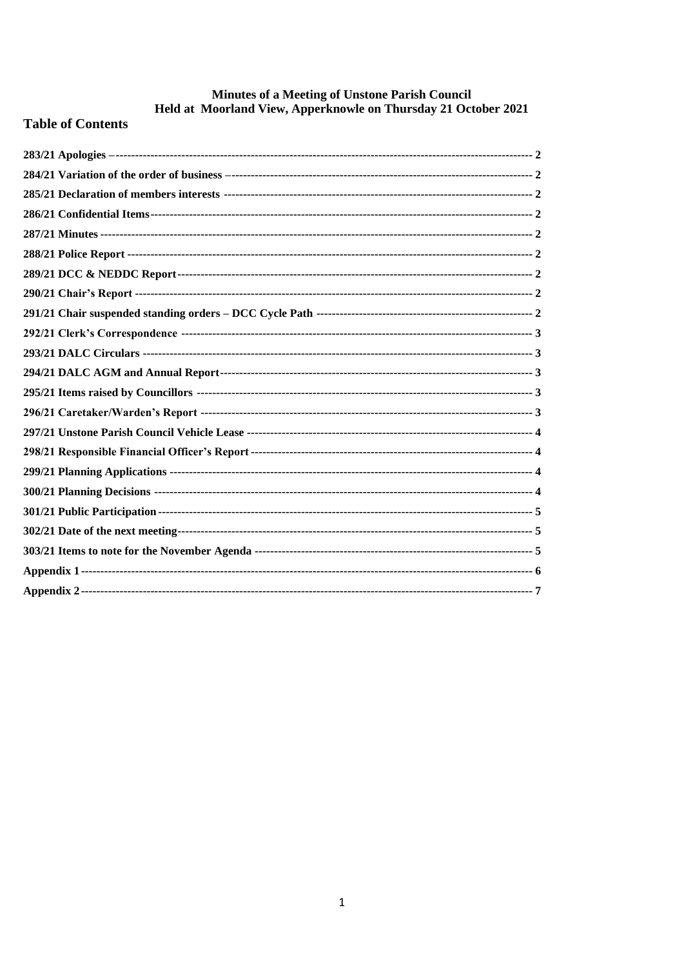# Minutes of a Meeting of Unstone Parish Council<br>Held at Moorland View, Apperknowle on Thursday 21 October 2021

### **Table of Contents**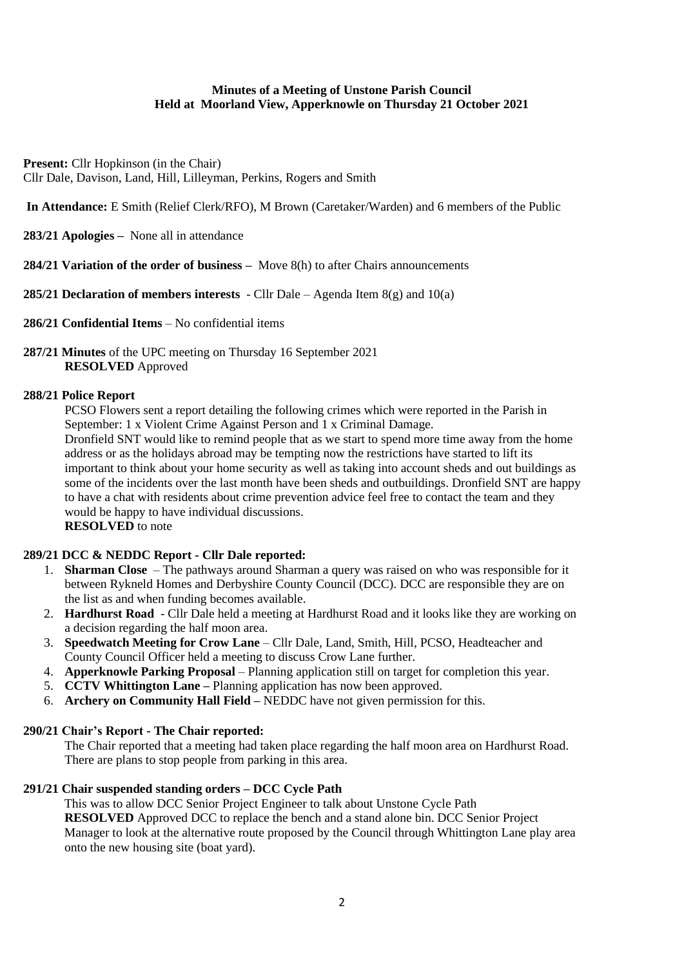#### **Minutes of a Meeting of Unstone Parish Council Held at Moorland View, Apperknowle on Thursday 21 October 2021**

**Present:** Cllr Hopkinson (in the Chair) Cllr Dale, Davison, Land, Hill, Lilleyman, Perkins, Rogers and Smith

**In Attendance:** E Smith (Relief Clerk/RFO), M Brown (Caretaker/Warden) and 6 members of the Public

<span id="page-1-0"></span>**283/21 Apologies –** None all in attendance

<span id="page-1-1"></span>**284/21 Variation of the order of business –** Move 8(h) to after Chairs announcements

<span id="page-1-2"></span>**285/21 Declaration of members interests** - Cllr Dale – Agenda Item 8(g) and 10(a)

- <span id="page-1-3"></span>**286/21 Confidential Items** – No confidential items
- <span id="page-1-4"></span>**287/21 Minutes** of the UPC meeting on Thursday 16 September 2021 **RESOLVED** Approved

#### <span id="page-1-5"></span>**288/21 Police Report**

PCSO Flowers sent a report detailing the following crimes which were reported in the Parish in September: 1 x Violent Crime Against Person and 1 x Criminal Damage.

Dronfield SNT would like to remind people that as we start to spend more time away from the home address or as the holidays abroad may be tempting now the restrictions have started to lift its important to think about your home security as well as taking into account sheds and out buildings as some of the incidents over the last month have been sheds and outbuildings. Dronfield SNT are happy to have a chat with residents about crime prevention advice feel free to contact the team and they would be happy to have individual discussions. **RESOLVED** to note

#### <span id="page-1-6"></span>**289/21 DCC & NEDDC Report - Cllr Dale reported:**

- 1. **Sharman Close** The pathways around Sharman a query was raised on who was responsible for it between Rykneld Homes and Derbyshire County Council (DCC). DCC are responsible they are on the list as and when funding becomes available.
- 2. **Hardhurst Road** Cllr Dale held a meeting at Hardhurst Road and it looks like they are working on a decision regarding the half moon area.
- 3. **Speedwatch Meeting for Crow Lane** Cllr Dale, Land, Smith, Hill, PCSO, Headteacher and County Council Officer held a meeting to discuss Crow Lane further.
- 4. **Apperknowle Parking Proposal** Planning application still on target for completion this year.
- 5. **CCTV Whittington Lane –** Planning application has now been approved.
- 6. **Archery on Community Hall Field –** NEDDC have not given permission for this.

#### <span id="page-1-7"></span>**290/21 Chair's Report - The Chair reported:**

The Chair reported that a meeting had taken place regarding the half moon area on Hardhurst Road. There are plans to stop people from parking in this area.

#### <span id="page-1-8"></span>**291/21 Chair suspended standing orders – DCC Cycle Path**

This was to allow DCC Senior Project Engineer to talk about Unstone Cycle Path **RESOLVED** Approved DCC to replace the bench and a stand alone bin. DCC Senior Project Manager to look at the alternative route proposed by the Council through Whittington Lane play area onto the new housing site (boat yard).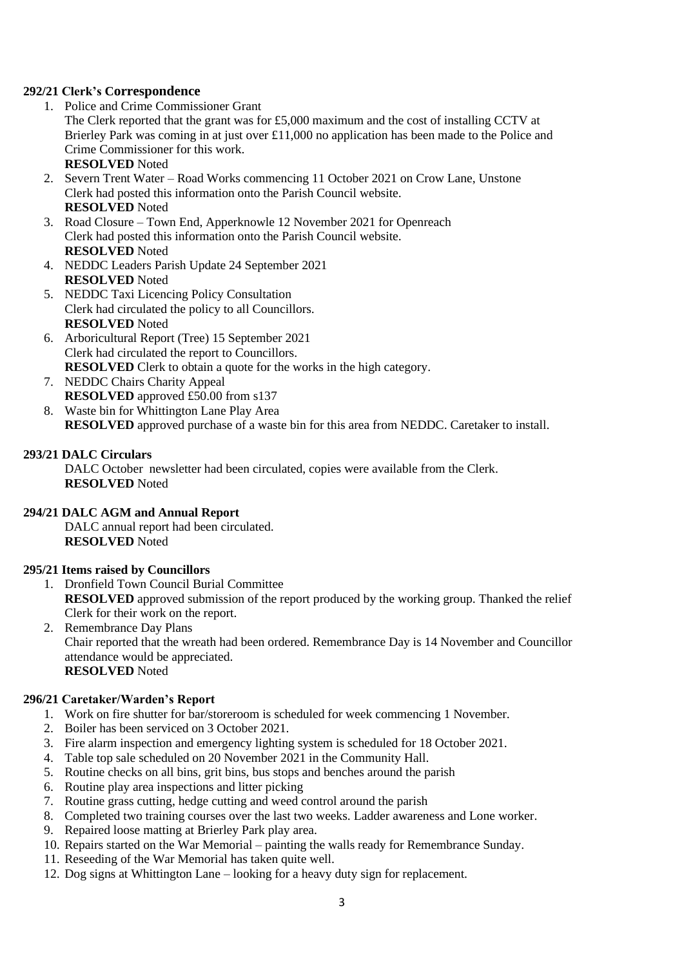#### <span id="page-2-0"></span>**292/21 Clerk's Correspondence**

- 1. Police and Crime Commissioner Grant The Clerk reported that the grant was for £5,000 maximum and the cost of installing CCTV at Brierley Park was coming in at just over £11,000 no application has been made to the Police and Crime Commissioner for this work. **RESOLVED** Noted
- 2. Severn Trent Water Road Works commencing 11 October 2021 on Crow Lane, Unstone Clerk had posted this information onto the Parish Council website. **RESOLVED** Noted
- 3. Road Closure Town End, Apperknowle 12 November 2021 for Openreach Clerk had posted this information onto the Parish Council website. **RESOLVED** Noted
- 4. NEDDC Leaders Parish Update 24 September 2021 **RESOLVED** Noted
- 5. NEDDC Taxi Licencing Policy Consultation Clerk had circulated the policy to all Councillors. **RESOLVED** Noted
- 6. Arboricultural Report (Tree) 15 September 2021 Clerk had circulated the report to Councillors. **RESOLVED** Clerk to obtain a quote for the works in the high category.
- 7. NEDDC Chairs Charity Appeal **RESOLVED** approved £50.00 from s137
- 8. Waste bin for Whittington Lane Play Area **RESOLVED** approved purchase of a waste bin for this area from NEDDC. Caretaker to install.

#### <span id="page-2-1"></span>**293/21 DALC Circulars**

DALC October newsletter had been circulated, copies were available from the Clerk. **RESOLVED** Noted

#### <span id="page-2-2"></span>**294/21 DALC AGM and Annual Report**

DALC annual report had been circulated. **RESOLVED** Noted

#### <span id="page-2-3"></span>**295/21 Items raised by Councillors**

- 1. Dronfield Town Council Burial Committee **RESOLVED** approved submission of the report produced by the working group. Thanked the relief Clerk for their work on the report.
- 2. Remembrance Day Plans Chair reported that the wreath had been ordered. Remembrance Day is 14 November and Councillor attendance would be appreciated. **RESOLVED** Noted

#### <span id="page-2-4"></span>**296/21 Caretaker/Warden's Report**

- 1. Work on fire shutter for bar/storeroom is scheduled for week commencing 1 November.
- 2. Boiler has been serviced on 3 October 2021.
- 3. Fire alarm inspection and emergency lighting system is scheduled for 18 October 2021.
- 4. Table top sale scheduled on 20 November 2021 in the Community Hall.
- 5. Routine checks on all bins, grit bins, bus stops and benches around the parish
- 6. Routine play area inspections and litter picking
- 7. Routine grass cutting, hedge cutting and weed control around the parish
- 8. Completed two training courses over the last two weeks. Ladder awareness and Lone worker.
- 9. Repaired loose matting at Brierley Park play area.
- 10. Repairs started on the War Memorial painting the walls ready for Remembrance Sunday.
- 11. Reseeding of the War Memorial has taken quite well.
- 12. Dog signs at Whittington Lane looking for a heavy duty sign for replacement.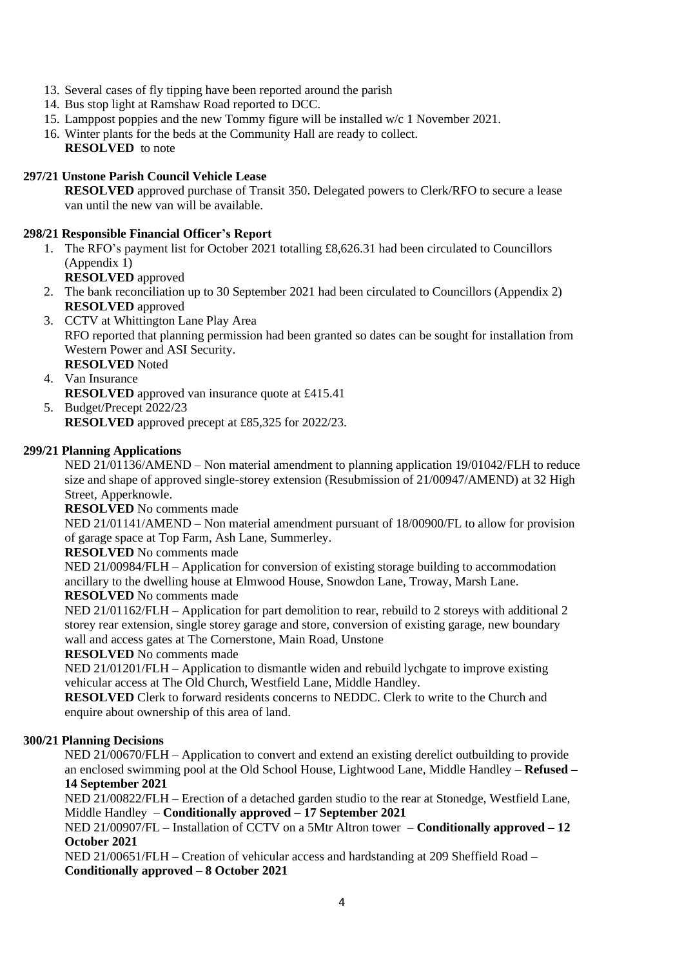- 13. Several cases of fly tipping have been reported around the parish
- 14. Bus stop light at Ramshaw Road reported to DCC.
- 15. Lamppost poppies and the new Tommy figure will be installed w/c 1 November 2021.
- 16. Winter plants for the beds at the Community Hall are ready to collect. **RESOLVED** to note

#### <span id="page-3-0"></span>**297/21 Unstone Parish Council Vehicle Lease**

**RESOLVED** approved purchase of Transit 350. Delegated powers to Clerk/RFO to secure a lease van until the new van will be available.

#### <span id="page-3-1"></span>**298/21 Responsible Financial Officer's Report**

- 1. The RFO's payment list for October 2021 totalling £8,626.31 had been circulated to Councillors (Appendix 1)
	- **RESOLVED** approved
- 2. The bank reconciliation up to 30 September 2021 had been circulated to Councillors (Appendix 2) **RESOLVED** approved
- 3. CCTV at Whittington Lane Play Area RFO reported that planning permission had been granted so dates can be sought for installation from Western Power and ASI Security. **RESOLVED** Noted
- 4. Van Insurance **RESOLVED** approved van insurance quote at £415.41
- 5. Budget/Precept 2022/23 **RESOLVED** approved precept at £85,325 for 2022/23.

#### <span id="page-3-2"></span>**299/21 Planning Applications**

NED 21/01136/AMEND – Non material amendment to planning application 19/01042/FLH to reduce size and shape of approved single-storey extension (Resubmission of 21/00947/AMEND) at 32 High Street, Apperknowle.

**RESOLVED** No comments made

NED 21/01141/AMEND – Non material amendment pursuant of 18/00900/FL to allow for provision of garage space at Top Farm, Ash Lane, Summerley.

**RESOLVED** No comments made

NED 21/00984/FLH – Application for conversion of existing storage building to accommodation ancillary to the dwelling house at Elmwood House, Snowdon Lane, Troway, Marsh Lane.

**RESOLVED** No comments made

NED 21/01162/FLH – Application for part demolition to rear, rebuild to 2 storeys with additional 2 storey rear extension, single storey garage and store, conversion of existing garage, new boundary wall and access gates at The Cornerstone, Main Road, Unstone

**RESOLVED** No comments made

NED 21/01201/FLH – Application to dismantle widen and rebuild lychgate to improve existing vehicular access at The Old Church, Westfield Lane, Middle Handley.

**RESOLVED** Clerk to forward residents concerns to NEDDC. Clerk to write to the Church and enquire about ownership of this area of land.

#### <span id="page-3-3"></span>**300/21 Planning Decisions**

NED 21/00670/FLH – Application to convert and extend an existing derelict outbuilding to provide an enclosed swimming pool at the Old School House, Lightwood Lane, Middle Handley – **Refused – 14 September 2021**

NED 21/00822/FLH – Erection of a detached garden studio to the rear at Stonedge, Westfield Lane, Middle Handley – **Conditionally approved – 17 September 2021**

NED 21/00907/FL – Installation of CCTV on a 5Mtr Altron tower – **Conditionally approved – 12 October 2021**

NED 21/00651/FLH – Creation of vehicular access and hardstanding at 209 Sheffield Road – **Conditionally approved – 8 October 2021**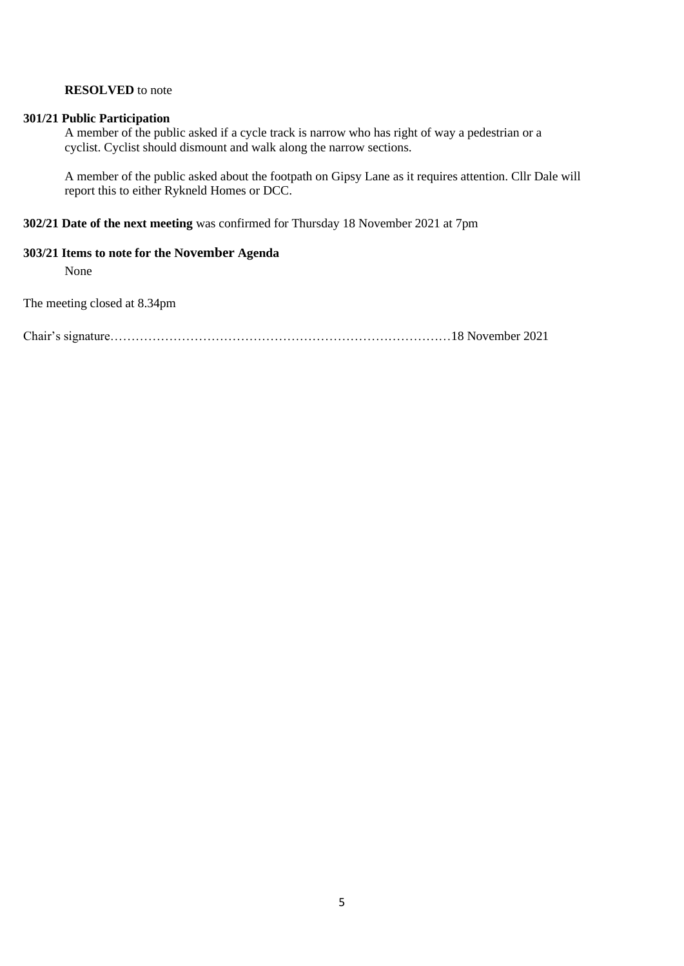#### **RESOLVED** to note

#### <span id="page-4-0"></span>**301/21 Public Participation**

A member of the public asked if a cycle track is narrow who has right of way a pedestrian or a cyclist. Cyclist should dismount and walk along the narrow sections.

A member of the public asked about the footpath on Gipsy Lane as it requires attention. Cllr Dale will report this to either Rykneld Homes or DCC.

#### <span id="page-4-1"></span>**302/21 Date of the next meeting** was confirmed for Thursday 18 November 2021 at 7pm

#### <span id="page-4-2"></span>**303/21 Items to note for the November Agenda**

None

The meeting closed at 8.34pm

Chair's signature………………………………………………………………………18 November 2021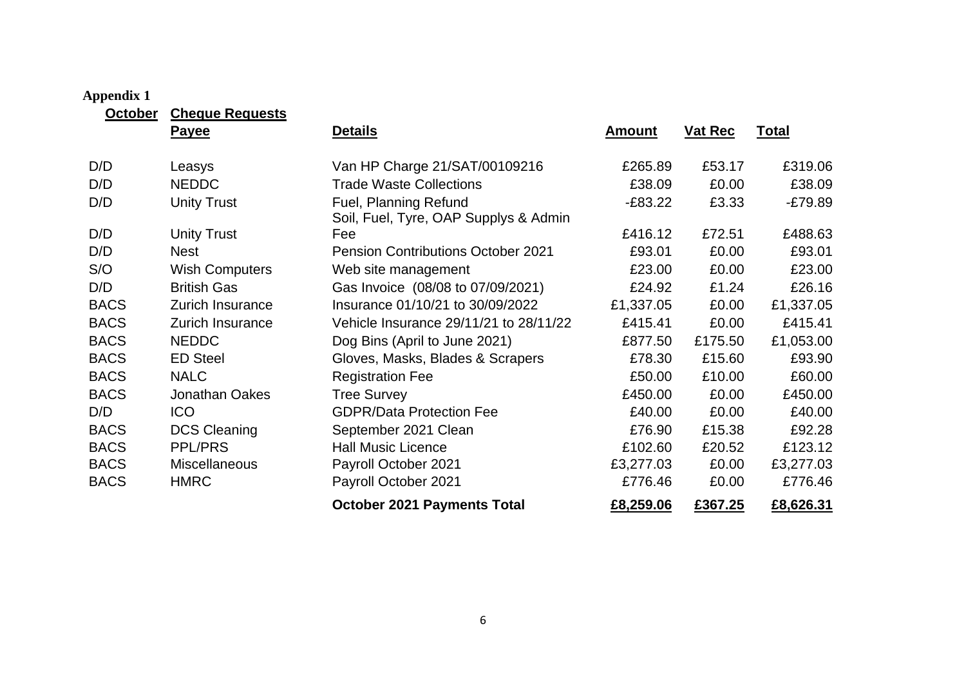#### **Appendix 1**

| October     | <b>Cheque Requests</b> |                                                                |               |                |              |  |  |
|-------------|------------------------|----------------------------------------------------------------|---------------|----------------|--------------|--|--|
|             | <b>Payee</b>           | <b>Details</b>                                                 | <u>Amount</u> | <b>Vat Rec</b> | <u>Total</u> |  |  |
| D/D         | Leasys                 | Van HP Charge 21/SAT/00109216                                  | £265.89       | £53.17         | £319.06      |  |  |
| D/D         | <b>NEDDC</b>           | <b>Trade Waste Collections</b>                                 | £38.09        | £0.00          | £38.09       |  |  |
| D/D         | <b>Unity Trust</b>     | Fuel, Planning Refund<br>Soil, Fuel, Tyre, OAP Supplys & Admin | $-E83.22$     | £3.33          | $-E79.89$    |  |  |
| D/D         | <b>Unity Trust</b>     | Fee                                                            | £416.12       | £72.51         | £488.63      |  |  |
| D/D         | <b>Nest</b>            | <b>Pension Contributions October 2021</b>                      | £93.01        | £0.00          | £93.01       |  |  |
| S/O         | <b>Wish Computers</b>  | Web site management                                            | £23.00        | £0.00          | £23.00       |  |  |
| D/D         | <b>British Gas</b>     | Gas Invoice (08/08 to 07/09/2021)                              | £24.92        | £1.24          | £26.16       |  |  |
| <b>BACS</b> | Zurich Insurance       | Insurance 01/10/21 to 30/09/2022                               | £1,337.05     | £0.00          | £1,337.05    |  |  |
| <b>BACS</b> | Zurich Insurance       | Vehicle Insurance 29/11/21 to 28/11/22                         | £415.41       | £0.00          | £415.41      |  |  |
| <b>BACS</b> | <b>NEDDC</b>           | Dog Bins (April to June 2021)                                  | £877.50       | £175.50        | £1,053.00    |  |  |
| <b>BACS</b> | <b>ED Steel</b>        | Gloves, Masks, Blades & Scrapers                               | £78.30        | £15.60         | £93.90       |  |  |
| <b>BACS</b> | <b>NALC</b>            | <b>Registration Fee</b>                                        | £50.00        | £10.00         | £60.00       |  |  |
| <b>BACS</b> | Jonathan Oakes         | <b>Tree Survey</b>                                             | £450.00       | £0.00          | £450.00      |  |  |
| D/D         | <b>ICO</b>             | <b>GDPR/Data Protection Fee</b>                                | £40.00        | £0.00          | £40.00       |  |  |
| <b>BACS</b> | <b>DCS Cleaning</b>    | September 2021 Clean                                           | £76.90        | £15.38         | £92.28       |  |  |
| <b>BACS</b> | <b>PPL/PRS</b>         | <b>Hall Music Licence</b>                                      | £102.60       | £20.52         | £123.12      |  |  |
| <b>BACS</b> | <b>Miscellaneous</b>   | Payroll October 2021                                           | £3,277.03     | £0.00          | £3,277.03    |  |  |

<span id="page-5-0"></span>BACS HMRC Payroll October 2021 **E776.46** £0.00 £776.46 **October 2021 Payments Total £8,259.06 £367.25 £8,626.31**